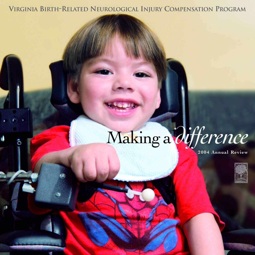**VIRGINIA BIRTH-RELATED NEUROLOGICAL INJURY COMPENSATION PROGRAM**

# Making a *difference*

**2004 Annual Review**

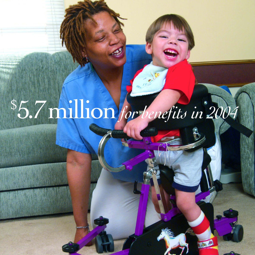# \$ 5.7million *for benefits in 2004*

 $\rightarrow$ 

**Adventure**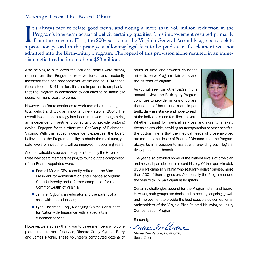# **Message From The Board Chair**

t's always nice to relate good news, and noting a more than \$30 million reduction in the Program's long-term actuarial deficit certainly qualifies. This improvement resulted primarily from three events. First, the 2004 session of the Virginia General Assembly agreed to delete a provision passed in the prior year allowing legal fees to be paid even if a claimant was not admitted into the Birth-Injury Program. The repeal of this provision alone resulted in an immediate deficit reduction of about \$28 million. I<br>a pr

Also helping to slim down the actuarial deficit were strong returns on the Program's reserve funds and modestly increased fees and assessments. At the end of 2004 those funds stood at \$141 million. It's also important to emphasize that the Program is considered by actuaries to be financially sound for many years to come.

However, the Board continues to work towards eliminating the total deficit and took an important new step in 2004. The overall investment strategy has been improved through hiring an independent investment consultant to provide ongoing advice. Engaged for this effort was CapGroup of Richmond, Virginia. With this added independent expertise, the Board believes that the Program's ability to obtain the maximum, yet safe levels of investment, will be improved in upcoming years.

Another valuable step was the appointment by the Governor of three new board members helping to round out the composition of the Board. Appointed were:

- Edward Mazur, CPA, recently retired as the Vice President for Administration and Finance at Virginia State University and a former comptroller for the Commonwealth of Virginia;
- Jennifer Ogburn, an educator and the parent of a child with special needs;
- Lynn Chapman, Esq., Managing Claims Consultant for Nationwide Insurance with a specialty in customer service.

However, we also say thank you to three members who completed their terms of service, Richard Cathy, Cynthia Berry and James Ritchie. These volunteers contributed dozens of hours of time and traveled countless miles to serve Program claimants and the citizens of Virginia.

As you will see from other pages in this annual review, the Birth-Injury Program continues to provide millions of dollars, thousands of hours and more importantly, daily assistance and hope to each of the individuals and families it covers.



Whether paying for medical services and nursing, making therapies available, providing for transportation or other benefits, the bottom line is that the medical needs of those involved are met. It's the desire of Board of Directors that the Program always be in a position to assist with providing each legislatively prescribed benefit.

The year also provided some of the highest levels of physician and hospital participation in recent history. Of the approximately 850 physicians in Virginia who regularly deliver babies, more than 500 of them signed-on. Additionally the Program ended the year with 32 participating hospitals.

Certainly challenges abound for the Program staff and board. However, both groups are dedicated to seeking ongoing growth and improvement to provide the best possible outcomes for all stakeholders of the Virginia Birth-Related Neurological Injury Compensation Program.

Sincerely,

Allac lufidue

Melina Dee Perdue, RN, MBA, CNA, Board Chair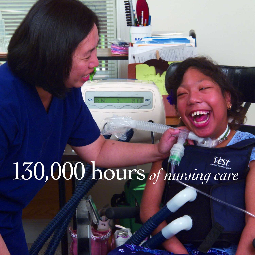# 130,000 hours*of nursing care*

ON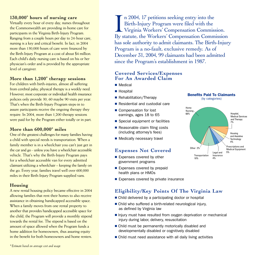# **130,000\* hours of nursing care**

Virtually every hour of every day, nurses throughout the Commonwealth are providing in-home care for participants in the Virginia Birth-Injury Program. Ranging from a couple hours per day to 24-hour care, nursing is a key and critical benefit. In fact, in 2004 more than 130,000 hours of care were financed by the Birth-Injury Program at a cost of about \$4 million. Each child's daily nursing care is based on his or her physician's order and is provided by the appropriate level of caregiver.

### **More than 1,200\* therapy sessions**

For children with birth-injuries, almost all suffering from cerebral palsy, physical therapy is a weekly need. However, most corporate or individual health insurance policies only provide 30, 60 maybe 90 visits per year. That's when the Birth-Injury Program steps-in to assure participants receive the ongoing therapy they require. In 2004, more than 1,200 therapy sessions were paid for by the Program either totally or in part.

### **More than 600,000\* miles**

One of the greatest challenges for many families having a child with special needs is transportation. When a family member is in a wheelchair you can't just get in the car and go - unless you have a wheelchair accessible vehicle. That's why the Birth-Injury Program pays for a wheelchair accessible van for every admitted claimant utilizing a wheelchair – keeping the family on the go. Every year, families travel well over 600,000 miles in their Birth-Injury Program supplied vans.

# **Housing**

A new rental housing policy became effective in 2004 allowing families that rent their homes to also receive assistance in obtaining handicapped accessible space. When a family moves from one rental property to another that provides handicapped accessible space for the child, the Program will provide a monthly stipend towards the rental fee. The stipend is based on the amount of space allowed when the Program funds a home addition for homeowners, thus assuring equity in the benefit for both homeowners and home renters.

n 2004, 17 petitions seeking entry into the Birth-Injury Program were filed with the Virginia Workers' Compensation Commission. In 2004, 17 petitions seeking entry into the<br>Birth-Injury Program were filed with the<br>Virginia Workers' Compensation Commission.<br>By statute, the Workers' Compensation Commission has sole authority to admit claimants. The Birth-Injury Program is a no-fault, exclusive remedy. As of December 31, 2004, 99 claimants had been admitted since the Program's establishment in 1987.

### **Covered Services/Expenses For An Awarded Claim**

- Medical
- Hospital
- Rehabilitation/Therapy
- Residential and custodial care
- Compensation for lost earnings, ages 18 to 65
- Special equipment or facilities
- Reasonable claim filing costs (including attorney's fees)
- Medically necessary travel

### **Expenses Not Covered**

- Expenses covered by other government programs
- Expenses covered by prepaid health plans or HMOs
- Expenses covered by private insurance

# **Eligibility/Key Points Of The Virginia Law**

- Child delivered by a participating doctor or hospital
- Child who suffered a birth-related neurological injury, as defined by Virginia law
- Injury must have resulted from oxygen deprivation or mechanical injury during labor, delivery, resuscitation
- Child must be permanently motorically disabled and developmentally disabled or cognitively disabled
- Child must need assistance with all daily living activities



Benefits Paid To Claimants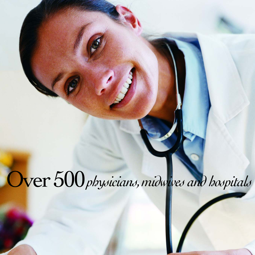# Over 500 physicians, midwives and hospitals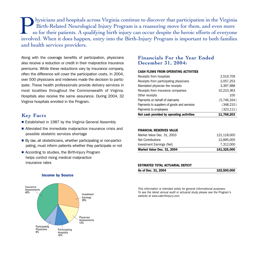hysicians and hospitals across Virginia continue to discover that participation in the Virginia Birth-Related Neurological Injury Program is a reassuring move for them, and even more so for their patients. A qualifying birth injury can occur despite the heroic efforts of everyone Inth-Related Neurological Injury Program is a reassuring move for them, and even more so for their patients. A qualifying birth injury can occur despite the heroic efforts of everyone involved. When it does happen, entry i and health services providers.

Along with the coverage benefits of participation, physicians also receive a reduction or credit in their malpractice insurance premiums. While these reductions vary by insurance company, often the difference will cover the participation costs. In 2004, over 500 physicians and midwives made the decision to participate. These health professionals provide delivery services in most localities throughout the Commonwealth of Virginia. Hospitals also receive the same assurance. During 2004, 32 Virginia hospitals enrolled in the Program.

### **Key Facts**

- Established in 1987 by the Virginia General Assembly
- Alleviated the immediate malpractice insurance crisis and possible obstetric services shortage
- By law, all obstetricians, whether participating or non-participating, must inform patients whether they participate or not
- According to studies, the Birth-Injury Program helps control rising medical malpractice insurance rates

### **Financials For the Year Ended December 31, 2004:**

### CASH FLOWS FROM OPERATING ACTIVITIES

| Net cash provided by operating activities   | 11,768,203  |
|---------------------------------------------|-------------|
| Payments to employees                       | (323, 111)  |
| Payments to suppliers of goods and services | (348, 210)  |
| Payments on behalf of claimants             | (5,746,164) |
| Other receipts                              | 100         |
| Receipts from insurance companies           | 10,210,363  |
| Mandated physician fee receipts             | 3,397,988   |
| Receipts from participating physicians      | 2,057,253   |
| Receipts from hospitals                     | 2,519,709   |

### FINANCIAL RESERVES VALUE

| Market Value Dec. 31, 2004 | 141,325,000 |
|----------------------------|-------------|
| Investment Earnings (Net)  | 7.312.000   |
| Net Contributions          | 12,895,000  |
| Market Value Dec. 31, 2003 | 121.118.000 |

#### ESTIMATED TOTAL ACTUARIAL DEFICIT

| As of Dec. 31, 2004 | 102,500,000 |
|---------------------|-------------|
|                     |             |

This information is intended solely for general informational purposes. To see the latest annual audit or actuarial study please see the Program's website at www.vabirthinjury.com.



### Income by Source